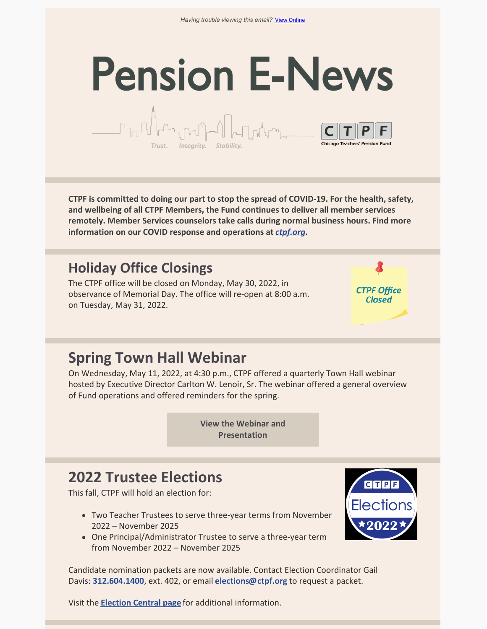# **Pension E-News**  $\begin{picture}(180,10) \put(0,0){\line(1,0){10}} \put(10,0){\line(1,0){10}} \put(10,0){\line(1,0){10}} \put(10,0){\line(1,0){10}} \put(10,0){\line(1,0){10}} \put(10,0){\line(1,0){10}} \put(10,0){\line(1,0){10}} \put(10,0){\line(1,0){10}} \put(10,0){\line(1,0){10}} \put(10,0){\line(1,0){10}} \put(10,0){\line(1,0){10}} \put(10,0){\line($



**CTPF is committed to doing our part to stop the spread of COVID-19. For the health, safety, and wellbeing of all CTPF Members, the Fund continues to deliver all member services remotely. Member Services counselors take calls during normal business hours. Find more information on our COVID response and operations at** *[ctpf.org](https://ctpf.org/)***.**

### **Holiday Office Closings**

The CTPF office will be closed on Monday, May 30, 2022, in observance of Memorial Day. The office will re-open at 8:00 a.m. on Tuesday, May 31, 2022.

Trust. Integrity. Stabilit

**CTPF Office Closed** 

### **Spring Town Hall Webinar**

On Wednesday, May 11, 2022, at 4:30 p.m., CTPF offered a quarterly Town Hall webinar hosted by Executive Director Carlton W. Lenoir, Sr. The webinar offered a general overview of Fund operations and offered reminders for the spring.

> **View the Webinar and [Presentation](https://ctpf.org/forms-publications/member-forms-information)**

### **2022 Trustee Elections**

This fall, CTPF will hold an election for:

- Two Teacher Trustees to serve three-year terms from November 2022 – November 2025
- One Principal/Administrator Trustee to serve a three-year term from November 2022 – November 2025



Candidate nomination packets are now available. Contact Election Coordinator Gail Davis: **[312.604.1400](tel:312.604.1400)**, ext. 402, or email **[elections@ctpf.org](mailto:elections@ctpf.org)** to request a packet.

Visit the **[Election](https://ctpf.org/about-ctpf/election-central-2022) Central pag[e](https://ctpf.org/2020-election-central)** for additional information.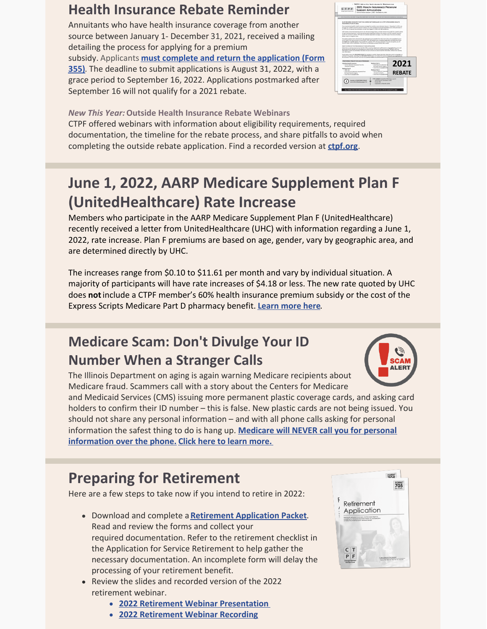### **Health Insurance Rebate Reminder**

Annuitants who have health insurance coverage from another source between January 1- December 31, 2021, received a mailing detailing the process for applying for a premium subsidy. Applicants **must complete and return the application (Form 355)**. The deadline to submit [applications](https://ctpf.org/sites/files/2022-03/2021_REBATE_Subsidy Application_vk3_FINAL.pdf) is August 31, 2022, with a grace period to September 16, 2022. Applications postmarked after September 16 will not qualify for a 2021 rebate.



*New This Year:***Outside Health Insurance Rebate Webinars**

CTPF offered webinars with information about eligibility requirements, required documentation, the timeline for the rebate process, and share pitfalls to avoid when completing the outside rebate application. Find a recorded version at **[ctpf.org](https://ctpf.org/)**.

## **June 1, 2022, AARP Medicare Supplement Plan F (UnitedHealthcare) Rate Increase**

Members who participate in the AARP Medicare Supplement Plan F (UnitedHealthcare) recently received a letter from UnitedHealthcare (UHC) with information regarding a June 1, 2022, rate increase. Plan F premiums are based on age, gender, vary by geographic area, and are determined directly by UHC.

The increases range from \$0.10 to \$11.61 per month and vary by individual situation. A majority of participants will have rate increases of \$4.18 or less. The new rate quoted by UHC does **not**include a CTPF member's 60% health insurance premium subsidy or the cost of the Express Scripts Medicare Part D pharmacy benefit. **[Learn](https://ctpf.org/news/june-1-2022-aarp-medicare-supplement-plan-f-unitedhealthcare-rate-increase) more here**.

### **Medicare Scam: Don't Divulge Your ID Number When a Stranger Calls**



and Medicaid Services (CMS) issuing more permanent plastic coverage cards, and asking card holders to confirm their ID number – this is false. New plastic cards are not being issued. You should not share any personal information – and with all phone calls asking for personal information the safest thing to do is hang up. **Medicare will NEVER call you for personal [information](https://www.ageoptions.org/wp-content/uploads/2022/04/SMP_Medicare-Card-Scam-TipSheet.pdf) over the phone. Click here to learn [more.](https://ctpf.org/news/medicare-scam-dont-divulge-your-id-number-when-stranger-calls)**

## **Preparing for Retirement**

Here are a few steps to take now if you intend to retire in 2022:

- Download and complete a **Retirement [Application](https://ctpf.org/sites/files/2022-04/Retirement Application Packet.pdf) Packet**. Read and review the forms and collect your required documentation. Refer to the retirement checklist in the Application for Service Retirement to help gather the necessary documentation. An incomplete form will delay the processing of your retirement benefit.
- Review the slides and recorded version of the 2022 retirement webinar.
	- **2022 Retirement Webinar [Presentation](https://ctpf.org/sites/files/2022-02/2022 Retirement Seminar Presentaion.pdf)**
	- **2022 [Retirement](https://ctpf.zoom.us/rec/play/unPiV2EIZr2X0npBjjyB29hB8yrZx7MV9KwpLqkGQnYVJr_OHkMDcnYlkOCBnyHDYHX2ORtvPRLtIOFK.wfH1p-s_InKBEX-v?continueMode=true&_x_zm_rtaid=DnB8j-CEQE6IaEmYcjLe8g.1645547971972.ce4fd490aebe918fab58a5749818c166&_x_zm_rhtaid=347) Webinar Recording**



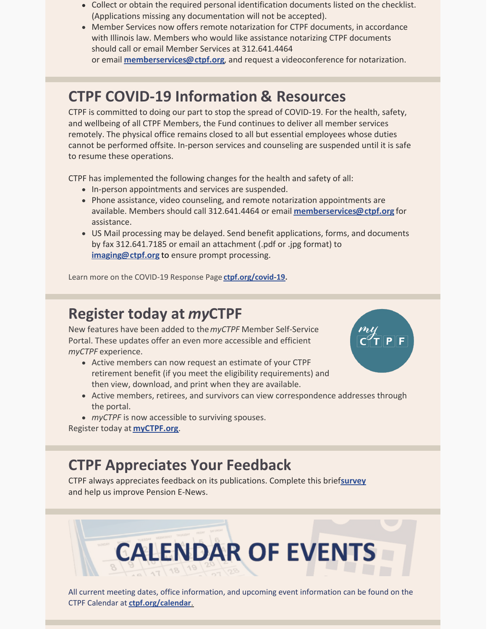- Collect or obtain the required personal identification documents listed on the checklist. (Applications missing any documentation will not be accepted).
- Member Services now offers remote notarization for CTPF documents, in accordance with Illinois law. Members who would like assistance notarizing CTPF documents should call or email Member Services at 312.641.4464 or email **[memberservices@ctpf.org](mailto:memberservices@ctpf.org)**, and request a videoconference for notarization.

### **CTPF COVID-19 Information & Resources**

CTPF is committed to doing our part to stop the spread of COVID-19. For the health, safety, and wellbeing of all CTPF Members, the Fund continues to deliver all member services remotely. The physical office remains closed to all but essential employees whose duties cannot be performed offsite. In-person services and counseling are suspended until it is safe to resume these operations.

CTPF has implemented the following changes for the health and safety of all:

- In-person appointments and services are suspended.
- Phone assistance, video counseling, and remote notarization appointments are available. Members should call 312.641.4464 or email **[memberservices@ctpf.org](mailto:memberservices@ctpf.org)** for assistance.
- US Mail processing may be delayed. Send benefit applications, forms, and documents by fax 312.641.7185 or email an attachment (.pdf or .jpg format) to **[imaging@ctpf.org](mailto:imaging@ctpf.org)** to ensure prompt processing.

Learn more on the COVID-19 Response Page **[ctpf.org/covid-19](https://ctpf.org/news-calendar/covid-19).**

### **Register today at** *my***CTPF**

New features have been added to the*myCTPF* Member Self-Service Portal. These updates offer an even more accessible and efficient *myCTPF* experience.

- Active members can now request an estimate of your CTPF retirement benefit (if you meet the eligibility requirements) and then view, download, and print when they are available.
- Active members, retirees, and survivors can view correspondence addresses through the portal.
- *myCTPF* is now accessible to surviving spouses.

Register today a[t](https://ctpf.org/myctpf) **[myCTPF.org](https://ctpf.org/myctpf)**.

### **CTPF Appreciates Your Feedback**

CTPF always appreciates feedback on its publications. Complete this brief**[survey](https://lp.constantcontactpages.com/sv/huLNgUU/ctpfsurvey?source_id=ece52b4b-7319-40b8-9eac-981808a8b7a9&source_type=em&c=)** and help us improve Pension E-News.

# **CALENDAR OF EVENTS**

All current meeting dates, office information, and upcoming event information can be found on the CTPF Calendar at **[ctpf.org/calendar](https://ctpf.org/news-calendar/calendar)**[.](https://ctpf.org/news-calendar/calendar)